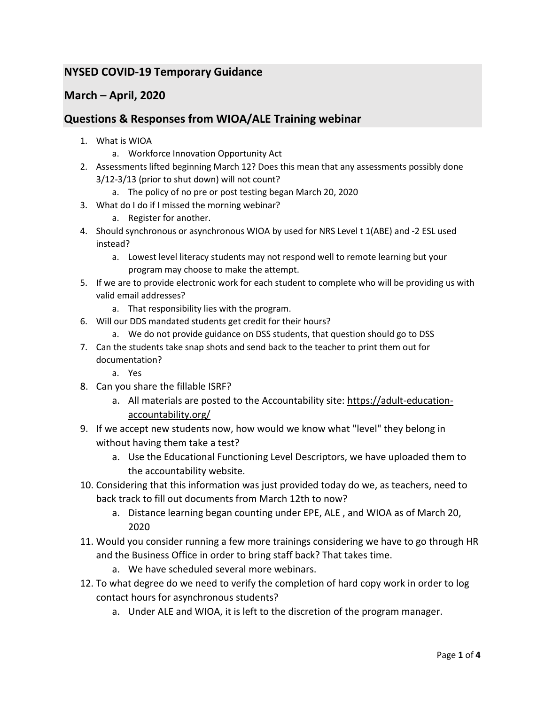## **NYSED COVID-19 Temporary Guidance**

## **March – April, 2020**

## **Questions & Responses from WIOA/ALE Training webinar**

- 1. What is WIOA
	- a. Workforce Innovation Opportunity Act
- 2. Assessments lifted beginning March 12? Does this mean that any assessments possibly done 3/12-3/13 (prior to shut down) will not count?
	- a. The policy of no pre or post testing began March 20, 2020
- 3. What do I do if I missed the morning webinar?
	- a. Register for another.
- 4. Should synchronous or asynchronous WIOA by used for NRS Level t 1(ABE) and -2 ESL used instead?
	- a. Lowest level literacy students may not respond well to remote learning but your program may choose to make the attempt.
- 5. If we are to provide electronic work for each student to complete who will be providing us with valid email addresses?
	- a. That responsibility lies with the program.
- 6. Will our DDS mandated students get credit for their hours?
	- a. We do not provide guidance on DSS students, that question should go to DSS
- 7. Can the students take snap shots and send back to the teacher to print them out for documentation?
	- a. Yes
- 8. Can you share the fillable ISRF?
	- a. All materials are posted to the Accountability site: [https://adult-education](https://adult-education-accountability.org/)[accountability.org/](https://adult-education-accountability.org/)
- 9. If we accept new students now, how would we know what "level" they belong in without having them take a test?
	- a. Use the Educational Functioning Level Descriptors, we have uploaded them to the accountability website.
- 10. Considering that this information was just provided today do we, as teachers, need to back track to fill out documents from March 12th to now?
	- a. Distance learning began counting under EPE, ALE , and WIOA as of March 20, 2020
- 11. Would you consider running a few more trainings considering we have to go through HR and the Business Office in order to bring staff back? That takes time.
	- a. We have scheduled several more webinars.
- 12. To what degree do we need to verify the completion of hard copy work in order to log contact hours for asynchronous students?
	- a. Under ALE and WIOA, it is left to the discretion of the program manager.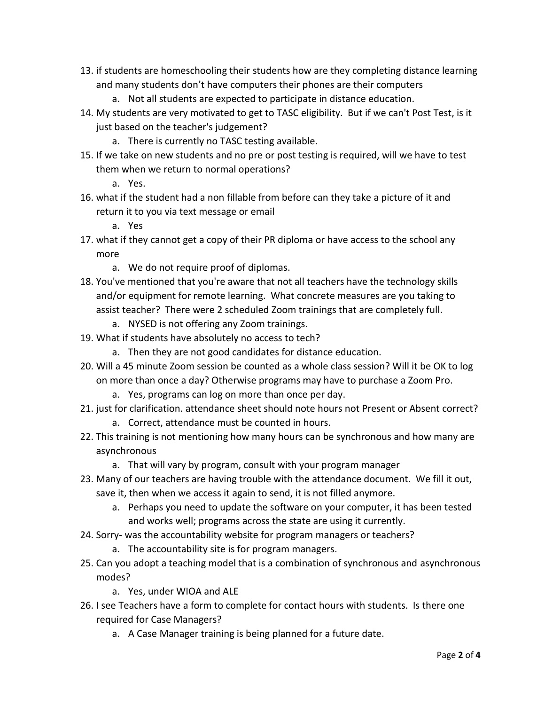- 13. if students are homeschooling their students how are they completing distance learning and many students don't have computers their phones are their computers
	- a. Not all students are expected to participate in distance education.
- 14. My students are very motivated to get to TASC eligibility. But if we can't Post Test, is it just based on the teacher's judgement?
	- a. There is currently no TASC testing available.
- 15. If we take on new students and no pre or post testing is required, will we have to test them when we return to normal operations?
	- a. Yes.
- 16. what if the student had a non fillable from before can they take a picture of it and return it to you via text message or email
	- a. Yes
- 17. what if they cannot get a copy of their PR diploma or have access to the school any more
	- a. We do not require proof of diplomas.
- 18. You've mentioned that you're aware that not all teachers have the technology skills and/or equipment for remote learning. What concrete measures are you taking to assist teacher? There were 2 scheduled Zoom trainings that are completely full.
	- a. NYSED is not offering any Zoom trainings.
- 19. What if students have absolutely no access to tech?
	- a. Then they are not good candidates for distance education.
- 20. Will a 45 minute Zoom session be counted as a whole class session? Will it be OK to log on more than once a day? Otherwise programs may have to purchase a Zoom Pro.
	- a. Yes, programs can log on more than once per day.
- 21. just for clarification. attendance sheet should note hours not Present or Absent correct?
	- a. Correct, attendance must be counted in hours.
- 22. This training is not mentioning how many hours can be synchronous and how many are asynchronous
	- a. That will vary by program, consult with your program manager
- 23. Many of our teachers are having trouble with the attendance document. We fill it out, save it, then when we access it again to send, it is not filled anymore.
	- a. Perhaps you need to update the software on your computer, it has been tested and works well; programs across the state are using it currently.
- 24. Sorry- was the accountability website for program managers or teachers?
	- a. The accountability site is for program managers.
- 25. Can you adopt a teaching model that is a combination of synchronous and asynchronous modes?
	- a. Yes, under WIOA and ALE
- 26. I see Teachers have a form to complete for contact hours with students. Is there one required for Case Managers?
	- a. A Case Manager training is being planned for a future date.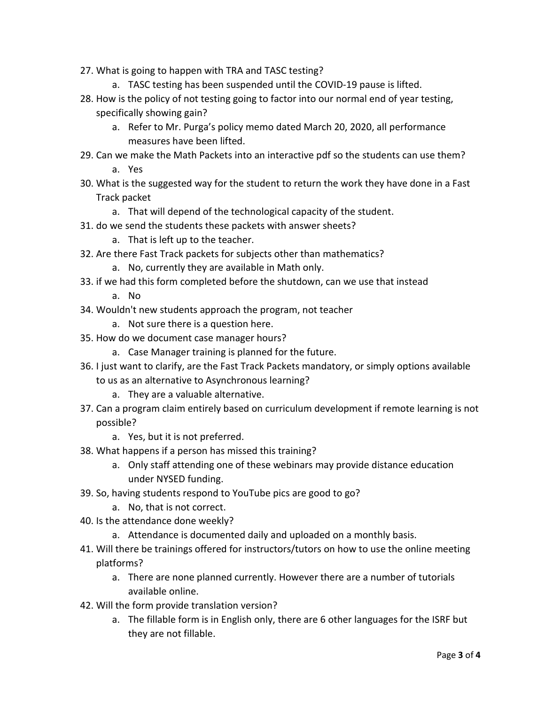- 27. What is going to happen with TRA and TASC testing?
	- a. TASC testing has been suspended until the COVID-19 pause is lifted.
- 28. How is the policy of not testing going to factor into our normal end of year testing, specifically showing gain?
	- a. Refer to Mr. Purga's policy memo dated March 20, 2020, all performance measures have been lifted.
- 29. Can we make the Math Packets into an interactive pdf so the students can use them? a. Yes
- 30. What is the suggested way for the student to return the work they have done in a Fast Track packet
	- a. That will depend of the technological capacity of the student.
- 31. do we send the students these packets with answer sheets?
	- a. That is left up to the teacher.
- 32. Are there Fast Track packets for subjects other than mathematics?
	- a. No, currently they are available in Math only.
- 33. if we had this form completed before the shutdown, can we use that instead
	- a. No
- 34. Wouldn't new students approach the program, not teacher
	- a. Not sure there is a question here.
- 35. How do we document case manager hours?
	- a. Case Manager training is planned for the future.
- 36. I just want to clarify, are the Fast Track Packets mandatory, or simply options available
	- to us as an alternative to Asynchronous learning?
		- a. They are a valuable alternative.
- 37. Can a program claim entirely based on curriculum development if remote learning is not possible?
	- a. Yes, but it is not preferred.
- 38. What happens if a person has missed this training?
	- a. Only staff attending one of these webinars may provide distance education under NYSED funding.
- 39. So, having students respond to YouTube pics are good to go?
	- a. No, that is not correct.
- 40. Is the attendance done weekly?
	- a. Attendance is documented daily and uploaded on a monthly basis.
- 41. Will there be trainings offered for instructors/tutors on how to use the online meeting platforms?
	- a. There are none planned currently. However there are a number of tutorials available online.
- 42. Will the form provide translation version?
	- a. The fillable form is in English only, there are 6 other languages for the ISRF but they are not fillable.